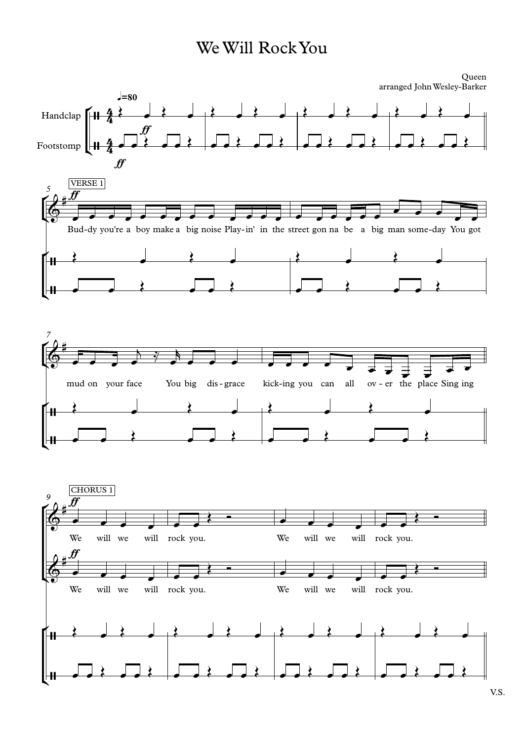## We Will Rock You



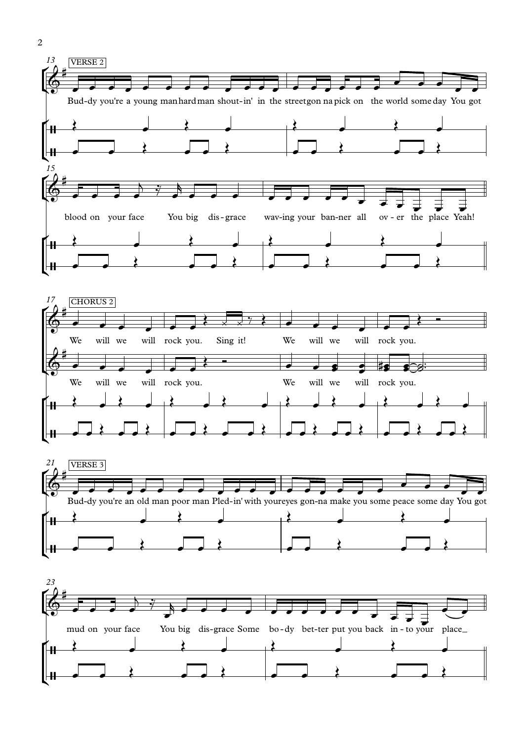

2